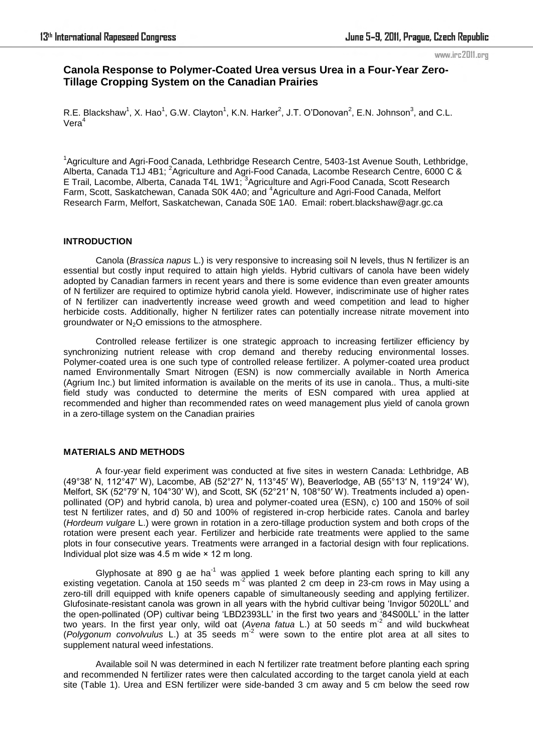# **Canola Response to Polymer-Coated Urea versus Urea in a Four-Year Zero-Tillage Cropping System on the Canadian Prairies**

R.E. Blackshaw<sup>1</sup>, X. Hao<sup>1</sup>, G.W. Clayton<sup>1</sup>, K.N. Harker<sup>2</sup>, J.T. O'Donovan<sup>2</sup>, E.N. Johnson<sup>3</sup>, and C.L. Vera<sup>4</sup>

<sup>1</sup>Agriculture and Agri-Food Canada, Lethbridge Research Centre, 5403-1st Avenue South, Lethbridge, Alberta, Canada T1J 4B1; <sup>2</sup>Agriculture and Agri-Food Canada, Lacombe Research Centre, 6000 C & E Trail, Lacombe, Alberta, Canada T4L 1W1; <sup>3</sup>Agriculture and Agri-Food Canada, Scott Research Farm, Scott, Saskatchewan, Canada S0K 4A0; and <sup>4</sup>Agriculture and Agri-Food Canada, Melfort Research Farm, Melfort, Saskatchewan, Canada S0E 1A0. Email: robert.blackshaw@agr.gc.ca

# **INTRODUCTION**

Canola (*Brassica napus* L.) is very responsive to increasing soil N levels, thus N fertilizer is an essential but costly input required to attain high yields. Hybrid cultivars of canola have been widely adopted by Canadian farmers in recent years and there is some evidence than even greater amounts of N fertilizer are required to optimize hybrid canola yield. However, indiscriminate use of higher rates of N fertilizer can inadvertently increase weed growth and weed competition and lead to higher herbicide costs. Additionally, higher N fertilizer rates can potentially increase nitrate movement into groundwater or  $N<sub>2</sub>O$  emissions to the atmosphere.

Controlled release fertilizer is one strategic approach to increasing fertilizer efficiency by synchronizing nutrient release with crop demand and thereby reducing environmental losses. Polymer-coated urea is one such type of controlled release fertilizer. A polymer-coated urea product named Environmentally Smart Nitrogen (ESN) is now commercially available in North America (Agrium Inc.) but limited information is available on the merits of its use in canola.. Thus, a multi-site field study was conducted to determine the merits of ESN compared with urea applied at recommended and higher than recommended rates on weed management plus yield of canola grown in a zero-tillage system on the Canadian prairies

# **MATERIALS AND METHODS**

A four-year field experiment was conducted at five sites in western Canada: Lethbridge, AB (49°38′ N, 112°47′ W), Lacombe, AB (52°27′ N, 113°45′ W), Beaverlodge, AB (55°13′ N, 119°24′ W), Melfort, SK (52°79′ N, 104°30′ W), and Scott, SK (52°21′ N, 108°50′ W). Treatments included a) openpollinated (OP) and hybrid canola, b) urea and polymer-coated urea (ESN), c) 100 and 150% of soil test N fertilizer rates, and d) 50 and 100% of registered in-crop herbicide rates. Canola and barley (*Hordeum vulgare* L.) were grown in rotation in a zero-tillage production system and both crops of the rotation were present each year. Fertilizer and herbicide rate treatments were applied to the same plots in four consecutive years. Treatments were arranged in a factorial design with four replications. Individual plot size was  $4.5$  m wide  $\times$  12 m long.

Glyphosate at 890 g ae ha<sup>-1</sup> was applied 1 week before planting each spring to kill any existing vegetation. Canola at 150 seeds m-2 was planted 2 cm deep in 23-cm rows in May using a zero-till drill equipped with knife openers capable of simultaneously seeding and applying fertilizer. Glufosinate-resistant canola was grown in all years with the hybrid cultivar being 'Invigor 5020LL' and the open-pollinated (OP) cultivar being 'LBD2393LL' in the first two years and '84S00LL' in the latter two years. In the first year only, wild oat (*Avena fatua* L.) at 50 seeds m-2 and wild buckwheat (*Polygonum convolvulus* L.) at 35 seeds m-2 were sown to the entire plot area at all sites to supplement natural weed infestations.

Available soil N was determined in each N fertilizer rate treatment before planting each spring and recommended N fertilizer rates were then calculated according to the target canola yield at each site (Table 1). Urea and ESN fertilizer were side-banded 3 cm away and 5 cm below the seed row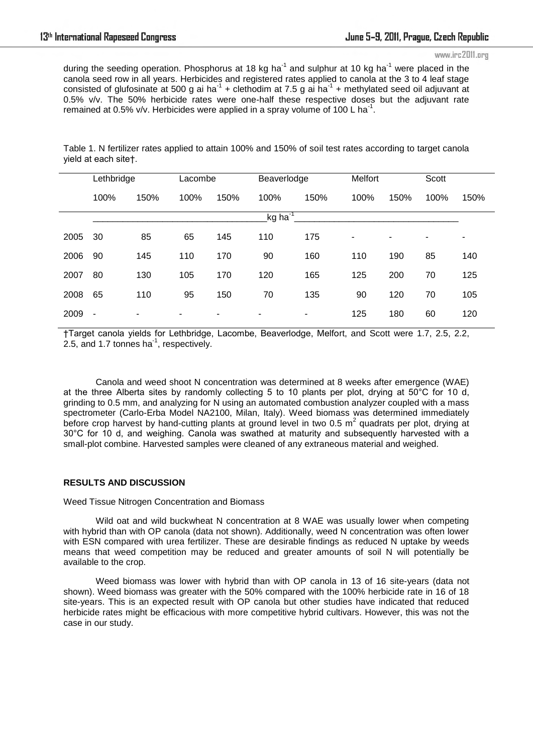during the seeding operation. Phosphorus at 18 kg ha<sup>-1</sup> and sulphur at 10 kg ha<sup>-1</sup> were placed in the canola seed row in all years. Herbicides and registered rates applied to canola at the 3 to 4 leaf stage consisted of glufosinate at 500 g ai ha<sup>-1</sup> + clethodim at 7.5 g ai ha<sup>-1</sup> + methylated seed oil adjuvant at 0.5% v/v. The 50% herbicide rates were one-half these respective doses but the adjuvant rate remained at 0.5% v/v. Herbicides were applied in a spray volume of 100 L ha<sup>-1</sup>.

Table 1. N fertilizer rates applied to attain 100% and 150% of soil test rates according to target canola yield at each site†.

| Lethbridge                       |      | Lacombe |                          | Beaverlodge |      | Melfort                  |      | Scott |      |
|----------------------------------|------|---------|--------------------------|-------------|------|--------------------------|------|-------|------|
| 100%                             | 150% | 100%    | 150%                     | 100%        | 150% | 100%                     | 150% | 100%  | 150% |
| kg ha <sup>-1</sup> <sub>—</sub> |      |         |                          |             |      |                          |      |       |      |
| 30                               | 85   | 65      | 145                      | 110         | 175  | $\overline{\phantom{a}}$ |      |       | -    |
| 90                               | 145  | 110     | 170                      | 90          | 160  | 110                      | 190  | 85    | 140  |
| 80                               | 130  | 105     | 170                      | 120         | 165  | 125                      | 200  | 70    | 125  |
| 65                               | 110  | 95      | 150                      | 70          | 135  | 90                       | 120  | 70    | 105  |
| ٠                                | ۰    | ٠       | $\overline{\phantom{a}}$ | ۰           | ٠    | 125                      | 180  | 60    | 120  |
|                                  |      |         |                          |             |      |                          |      |       |      |

†Target canola yields for Lethbridge, Lacombe, Beaverlodge, Melfort, and Scott were 1.7, 2.5, 2.2, 2.5, and 1.7 tonnes ha $^{-1}$ , respectively.

Canola and weed shoot N concentration was determined at 8 weeks after emergence (WAE) at the three Alberta sites by randomly collecting 5 to 10 plants per plot, drying at 50°C for 10 d, grinding to 0.5 mm, and analyzing for N using an automated combustion analyzer coupled with a mass spectrometer (Carlo-Erba Model NA2100, Milan, Italy). Weed biomass was determined immediately before crop harvest by hand-cutting plants at ground level in two 0.5 m<sup>2</sup> quadrats per plot, drying at 30°C for 10 d, and weighing. Canola was swathed at maturity and subsequently harvested with a small-plot combine. Harvested samples were cleaned of any extraneous material and weighed.

# **RESULTS AND DISCUSSION**

Weed Tissue Nitrogen Concentration and Biomass

Wild oat and wild buckwheat N concentration at 8 WAE was usually lower when competing with hybrid than with OP canola (data not shown). Additionally, weed N concentration was often lower with ESN compared with urea fertilizer. These are desirable findings as reduced N uptake by weeds means that weed competition may be reduced and greater amounts of soil N will potentially be available to the crop.

Weed biomass was lower with hybrid than with OP canola in 13 of 16 site-years (data not shown). Weed biomass was greater with the 50% compared with the 100% herbicide rate in 16 of 18 site-years. This is an expected result with OP canola but other studies have indicated that reduced herbicide rates might be efficacious with more competitive hybrid cultivars. However, this was not the case in our study.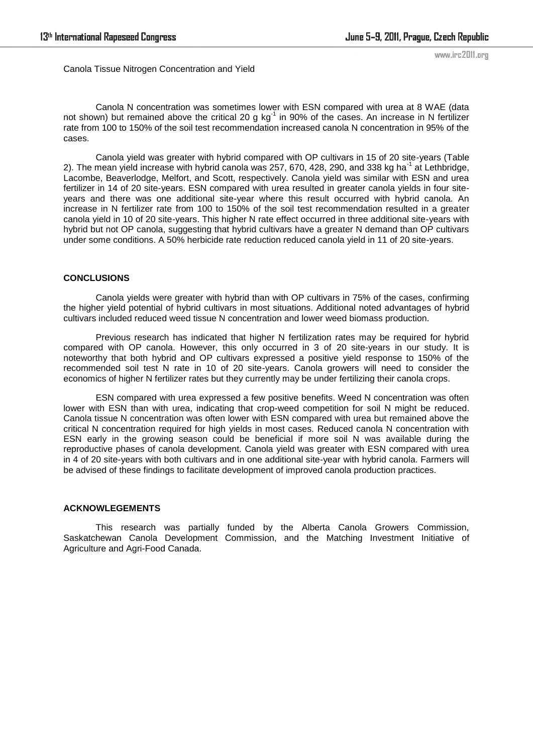Canola Tissue Nitrogen Concentration and Yield

Canola N concentration was sometimes lower with ESN compared with urea at 8 WAE (data not shown) but remained above the critical 20 g  $kg^{-1}$  in 90% of the cases. An increase in N fertilizer rate from 100 to 150% of the soil test recommendation increased canola N concentration in 95% of the cases.

Canola yield was greater with hybrid compared with OP cultivars in 15 of 20 site-years (Table 2). The mean yield increase with hybrid canola was 257, 670, 428, 290, and 338 kg ha<sup>-1</sup> at Lethbridge, Lacombe, Beaverlodge, Melfort, and Scott, respectively. Canola yield was similar with ESN and urea fertilizer in 14 of 20 site-years. ESN compared with urea resulted in greater canola yields in four siteyears and there was one additional site-year where this result occurred with hybrid canola. An increase in N fertilizer rate from 100 to 150% of the soil test recommendation resulted in a greater canola yield in 10 of 20 site-years. This higher N rate effect occurred in three additional site-years with hybrid but not OP canola, suggesting that hybrid cultivars have a greater N demand than OP cultivars under some conditions. A 50% herbicide rate reduction reduced canola yield in 11 of 20 site-years.

# **CONCLUSIONS**

Canola yields were greater with hybrid than with OP cultivars in 75% of the cases, confirming the higher yield potential of hybrid cultivars in most situations. Additional noted advantages of hybrid cultivars included reduced weed tissue N concentration and lower weed biomass production.

Previous research has indicated that higher N fertilization rates may be required for hybrid compared with OP canola. However, this only occurred in 3 of 20 site-years in our study. It is noteworthy that both hybrid and OP cultivars expressed a positive yield response to 150% of the recommended soil test N rate in 10 of 20 site-years. Canola growers will need to consider the economics of higher N fertilizer rates but they currently may be under fertilizing their canola crops.

ESN compared with urea expressed a few positive benefits. Weed N concentration was often lower with ESN than with urea, indicating that crop-weed competition for soil N might be reduced. Canola tissue N concentration was often lower with ESN compared with urea but remained above the critical N concentration required for high yields in most cases. Reduced canola N concentration with ESN early in the growing season could be beneficial if more soil N was available during the reproductive phases of canola development. Canola yield was greater with ESN compared with urea in 4 of 20 site-years with both cultivars and in one additional site-year with hybrid canola. Farmers will be advised of these findings to facilitate development of improved canola production practices.

# **ACKNOWLEGEMENTS**

This research was partially funded by the Alberta Canola Growers Commission, Saskatchewan Canola Development Commission, and the Matching Investment Initiative of Agriculture and Agri-Food Canada.